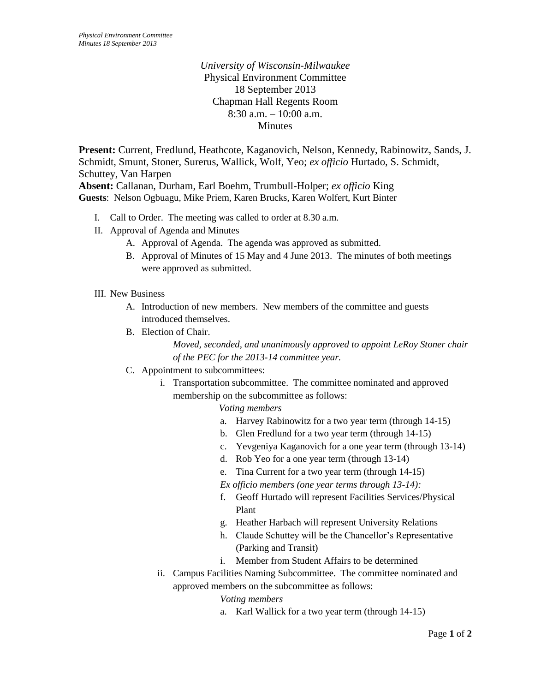*University of Wisconsin-Milwaukee* Physical Environment Committee 18 September 2013 Chapman Hall Regents Room 8:30 a.m. – 10:00 a.m. **Minutes** 

**Present:** Current, Fredlund, Heathcote, Kaganovich, Nelson, Kennedy, Rabinowitz, Sands, J. Schmidt, Smunt, Stoner, Surerus, Wallick, Wolf, Yeo; *ex officio* Hurtado, S. Schmidt, Schuttey, Van Harpen

**Absent:** Callanan, Durham, Earl Boehm, Trumbull-Holper; *ex officio* King **Guests**: Nelson Ogbuagu, Mike Priem, Karen Brucks, Karen Wolfert, Kurt Binter

- I. Call to Order. The meeting was called to order at 8.30 a.m.
- II. Approval of Agenda and Minutes
	- A. Approval of Agenda. The agenda was approved as submitted.
	- B. Approval of Minutes of 15 May and 4 June 2013. The minutes of both meetings were approved as submitted.
- III. New Business
	- A. Introduction of new members. New members of the committee and guests introduced themselves.
	- B. Election of Chair.

*Moved, seconded, and unanimously approved to appoint LeRoy Stoner chair of the PEC for the 2013-14 committee year.*

- C. Appointment to subcommittees:
	- i. Transportation subcommittee. The committee nominated and approved membership on the subcommittee as follows:
		- *Voting members*
		- a. Harvey Rabinowitz for a two year term (through 14-15)
		- b. Glen Fredlund for a two year term (through 14-15)
		- c. Yevgeniya Kaganovich for a one year term (through 13-14)
		- d. Rob Yeo for a one year term (through 13-14)
		- e. Tina Current for a two year term (through 14-15)

*Ex officio members (one year terms through 13-14):*

- f. Geoff Hurtado will represent Facilities Services/Physical Plant
- g. Heather Harbach will represent University Relations
- h. Claude Schuttey will be the Chancellor's Representative (Parking and Transit)
- i. Member from Student Affairs to be determined
- ii. Campus Facilities Naming Subcommittee. The committee nominated and approved members on the subcommittee as follows:

## *Voting members*

a. Karl Wallick for a two year term (through 14-15)